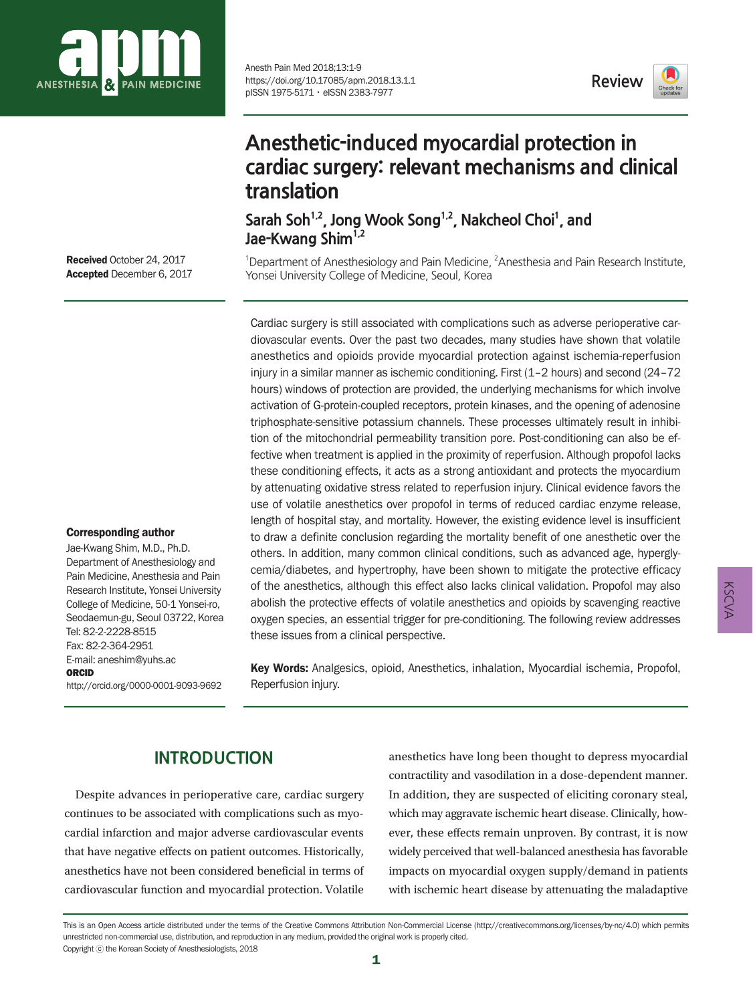

Anesth Pain Med 2018;13:1-9 https://doi.org/10.17085/apm.2018.13.1.1 pISSN 1975-5171ㆍeISSN 2383-7977

**Review**



Corresponding author Jae-Kwang Shim, M.D., Ph.D. Department of Anesthesiology and Pain Medicine, Anesthesia and Pain Research Institute, Yonsei University College of Medicine, 50-1 Yonsei-ro, Seodaemun-gu, Seoul 03722, Korea

Tel: 82-2-2228-8515 Fax: 82-2-364-2951 E-mail: aneshim@yuhs.ac

http://orcid.org/0000-0001-9093-9692

ORCID

# **Anesthetic-induced myocardial protection in cardiac surgery: relevant mechanisms and clinical translation**

Sarah Soh<sup>1,2</sup>, Jong Wook Song<sup>1,2</sup>, Nakcheol Choi<sup>1</sup>, and Jae-Kwang Shim<sup>1,2</sup>

<sup>1</sup>Department of Anesthesiology and Pain Medicine,  $2$ Anesthesia and Pain Research Institute, Yonsei University College of Medicine, Seoul, Korea

Cardiac surgery is still associated with complications such as adverse perioperative cardiovascular events. Over the past two decades, many studies have shown that volatile anesthetics and opioids provide myocardial protection against ischemia-reperfusion injury in a similar manner as ischemic conditioning. First (1–2 hours) and second (24–72 hours) windows of protection are provided, the underlying mechanisms for which involve activation of G-protein-coupled receptors, protein kinases, and the opening of adenosine triphosphate-sensitive potassium channels. These processes ultimately result in inhibition of the mitochondrial permeability transition pore. Post-conditioning can also be effective when treatment is applied in the proximity of reperfusion. Although propofol lacks these conditioning effects, it acts as a strong antioxidant and protects the myocardium by attenuating oxidative stress related to reperfusion injury. Clinical evidence favors the use of volatile anesthetics over propofol in terms of reduced cardiac enzyme release, length of hospital stay, and mortality. However, the existing evidence level is insufficient to draw a definite conclusion regarding the mortality benefit of one anesthetic over the others. In addition, many common clinical conditions, such as advanced age, hyperglycemia/diabetes, and hypertrophy, have been shown to mitigate the protective efficacy of the anesthetics, although this effect also lacks clinical validation. Propofol may also abolish the protective effects of volatile anesthetics and opioids by scavenging reactive oxygen species, an essential trigger for pre-conditioning. The following review addresses these issues from a clinical perspective.

Key Words: Analgesics, opioid, Anesthetics, inhalation, Myocardial ischemia, Propofol, Reperfusion injury.

## **INTRODUCTION**

Despite advances in perioperative care, cardiac surgery continues to be associated with complications such as myocardial infarction and major adverse cardiovascular events that have negative effects on patient outcomes. Historically, anesthetics have not been considered beneficial in terms of cardiovascular function and myocardial protection. Volatile

anesthetics have long been thought to depress myocardial contractility and vasodilation in a dose-dependent manner. In addition, they are suspected of eliciting coronary steal, which may aggravate ischemic heart disease. Clinically, however, these effects remain unproven. By contrast, it is now widely perceived that well-balanced anesthesia has favorable impacts on myocardial oxygen supply/demand in patients with ischemic heart disease by attenuating the maladaptive KSCVA

This is an Open Access article distributed under the terms of the Creative Commons Attribution Non-Commercial License (http://creativecommons.org/licenses/by-nc/4.0) which permits unrestricted non-commercial use, distribution, and reproduction in any medium, provided the original work is properly cited. Copyright ⓒ the Korean Society of Anesthesiologists, 2018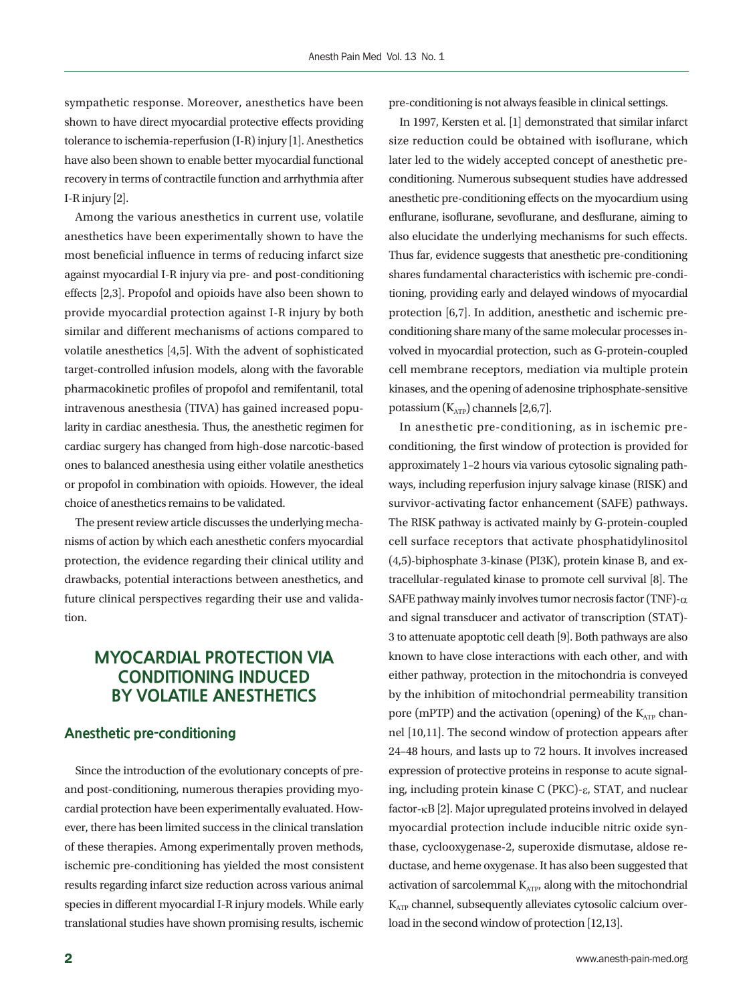sympathetic response. Moreover, anesthetics have been shown to have direct myocardial protective effects providing tolerance to ischemia-reperfusion (I-R) injury [1]. Anesthetics have also been shown to enable better myocardial functional recovery in terms of contractile function and arrhythmia after I-R injury [2].

Among the various anesthetics in current use, volatile anesthetics have been experimentally shown to have the most beneficial influence in terms of reducing infarct size against myocardial I-R injury via pre- and post-conditioning effects [2,3]. Propofol and opioids have also been shown to provide myocardial protection against I-R injury by both similar and different mechanisms of actions compared to volatile anesthetics [4,5]. With the advent of sophisticated target-controlled infusion models, along with the favorable pharmacokinetic profiles of propofol and remifentanil, total intravenous anesthesia (TIVA) has gained increased popularity in cardiac anesthesia. Thus, the anesthetic regimen for cardiac surgery has changed from high-dose narcotic-based ones to balanced anesthesia using either volatile anesthetics or propofol in combination with opioids. However, the ideal choice of anesthetics remains to be validated.

The present review article discusses the underlying mechanisms of action by which each anesthetic confers myocardial protection, the evidence regarding their clinical utility and drawbacks, potential interactions between anesthetics, and future clinical perspectives regarding their use and validation.

## **MYOCARDIAL PROTECTION VIA CONDITIONING INDUCED BY VOLATILE ANESTHETICS**

#### **Anesthetic pre-conditioning**

Since the introduction of the evolutionary concepts of preand post-conditioning, numerous therapies providing myocardial protection have been experimentally evaluated. However, there has been limited success in the clinical translation of these therapies. Among experimentally proven methods, ischemic pre-conditioning has yielded the most consistent results regarding infarct size reduction across various animal species in different myocardial I-R injury models. While early translational studies have shown promising results, ischemic

pre-conditioning is not always feasible in clinical settings.

In 1997, Kersten et al. [1] demonstrated that similar infarct size reduction could be obtained with isoflurane, which later led to the widely accepted concept of anesthetic preconditioning. Numerous subsequent studies have addressed anesthetic pre-conditioning effects on the myocardium using enflurane, isoflurane, sevoflurane, and desflurane, aiming to also elucidate the underlying mechanisms for such effects. Thus far, evidence suggests that anesthetic pre-conditioning shares fundamental characteristics with ischemic pre-conditioning, providing early and delayed windows of myocardial protection [6,7]. In addition, anesthetic and ischemic preconditioning share many of the same molecular processes involved in myocardial protection, such as G-protein-coupled cell membrane receptors, mediation via multiple protein kinases, and the opening of adenosine triphosphate-sensitive potassium  $(K_{ATP})$  channels [2,6,7].

In anesthetic pre-conditioning, as in ischemic preconditioning, the first window of protection is provided for approximately 1–2 hours via various cytosolic signaling pathways, including reperfusion injury salvage kinase (RISK) and survivor-activating factor enhancement (SAFE) pathways. The RISK pathway is activated mainly by G-protein-coupled cell surface receptors that activate phosphatidylinositol (4,5)-biphosphate 3-kinase (PI3K), protein kinase B, and extracellular-regulated kinase to promote cell survival [8]. The SAFE pathway mainly involves tumor necrosis factor (TNF)- $\alpha$ and signal transducer and activator of transcription (STAT)- 3 to attenuate apoptotic cell death [9]. Both pathways are also known to have close interactions with each other, and with either pathway, protection in the mitochondria is conveyed by the inhibition of mitochondrial permeability transition pore (mPTP) and the activation (opening) of the  $K_{ATP}$  channel [10,11]. The second window of protection appears after 24–48 hours, and lasts up to 72 hours. It involves increased expression of protective proteins in response to acute signaling, including protein kinase C (PKC)-e, STAT, and nuclear factor- $k$ B [2]. Major upregulated proteins involved in delayed myocardial protection include inducible nitric oxide synthase, cyclooxygenase-2, superoxide dismutase, aldose reductase, and heme oxygenase. It has also been suggested that activation of sarcolemmal  $K_{ATP}$ , along with the mitochondrial  $K_{ATP}$  channel, subsequently alleviates cytosolic calcium overload in the second window of protection [12,13].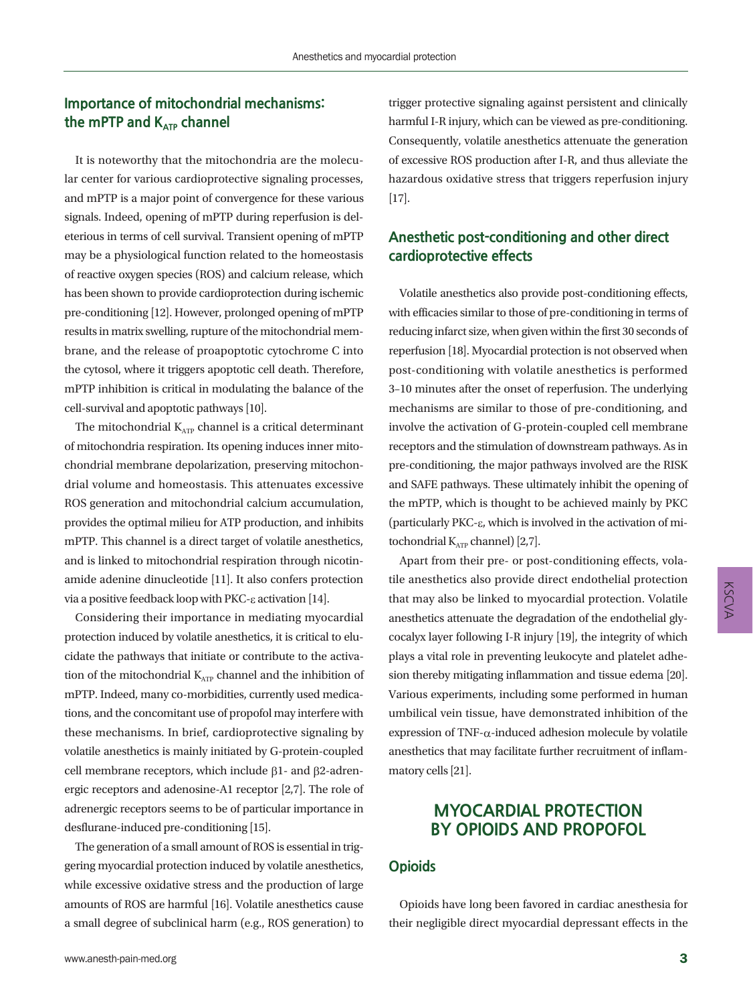## **Importance of mitochondrial mechanisms:**  the mPTP and K<sub>ATP</sub> channel

It is noteworthy that the mitochondria are the molecular center for various cardioprotective signaling processes, and mPTP is a major point of convergence for these various signals. Indeed, opening of mPTP during reperfusion is deleterious in terms of cell survival. Transient opening of mPTP may be a physiological function related to the homeostasis of reactive oxygen species (ROS) and calcium release, which has been shown to provide cardioprotection during ischemic pre-conditioning [12]. However, prolonged opening of mPTP results in matrix swelling, rupture of the mitochondrial membrane, and the release of proapoptotic cytochrome C into the cytosol, where it triggers apoptotic cell death. Therefore, mPTP inhibition is critical in modulating the balance of the cell-survival and apoptotic pathways [10].

The mitochondrial  $K_{ATP}$  channel is a critical determinant of mitochondria respiration. Its opening induces inner mitochondrial membrane depolarization, preserving mitochondrial volume and homeostasis. This attenuates excessive ROS generation and mitochondrial calcium accumulation, provides the optimal milieu for ATP production, and inhibits mPTP. This channel is a direct target of volatile anesthetics, and is linked to mitochondrial respiration through nicotinamide adenine dinucleotide [11]. It also confers protection via a positive feedback loop with PKC- $\varepsilon$  activation [14].

Considering their importance in mediating myocardial protection induced by volatile anesthetics, it is critical to elucidate the pathways that initiate or contribute to the activation of the mitochondrial  $K_{ATP}$  channel and the inhibition of mPTP. Indeed, many co-morbidities, currently used medications, and the concomitant use of propofol may interfere with these mechanisms. In brief, cardioprotective signaling by volatile anesthetics is mainly initiated by G-protein-coupled cell membrane receptors, which include  $\beta$ 1- and  $\beta$ 2-adrenergic receptors and adenosine-A1 receptor [2,7]. The role of adrenergic receptors seems to be of particular importance in desflurane-induced pre-conditioning [15].

The generation of a small amount of ROS is essential in triggering myocardial protection induced by volatile anesthetics, while excessive oxidative stress and the production of large amounts of ROS are harmful [16]. Volatile anesthetics cause a small degree of subclinical harm (e.g., ROS generation) to

trigger protective signaling against persistent and clinically harmful I-R injury, which can be viewed as pre-conditioning. Consequently, volatile anesthetics attenuate the generation of excessive ROS production after I-R, and thus alleviate the hazardous oxidative stress that triggers reperfusion injury [17].

## **Anesthetic post-conditioning and other direct cardioprotective effects**

Volatile anesthetics also provide post-conditioning effects, with efficacies similar to those of pre-conditioning in terms of reducing infarct size, when given within the first 30 seconds of reperfusion [18]. Myocardial protection is not observed when post-conditioning with volatile anesthetics is performed 3–10 minutes after the onset of reperfusion. The underlying mechanisms are similar to those of pre-conditioning, and involve the activation of G-protein-coupled cell membrane receptors and the stimulation of downstream pathways. As in pre-conditioning, the major pathways involved are the RISK and SAFE pathways. These ultimately inhibit the opening of the mPTP, which is thought to be achieved mainly by PKC (particularly PKC-e, which is involved in the activation of mitochondrial  $K_{ATP}$  channel) [2,7].

Apart from their pre- or post-conditioning effects, volatile anesthetics also provide direct endothelial protection that may also be linked to myocardial protection. Volatile anesthetics attenuate the degradation of the endothelial glycocalyx layer following I-R injury [19], the integrity of which plays a vital role in preventing leukocyte and platelet adhesion thereby mitigating inflammation and tissue edema [20]. Various experiments, including some performed in human umbilical vein tissue, have demonstrated inhibition of the expression of  $TNF-\alpha$ -induced adhesion molecule by volatile anesthetics that may facilitate further recruitment of inflammatory cells [21].

## **MYOCARDIAL PROTECTION BY OPIOIDS AND PROPOFOL**

### **Opioids**

Opioids have long been favored in cardiac anesthesia for their negligible direct myocardial depressant effects in the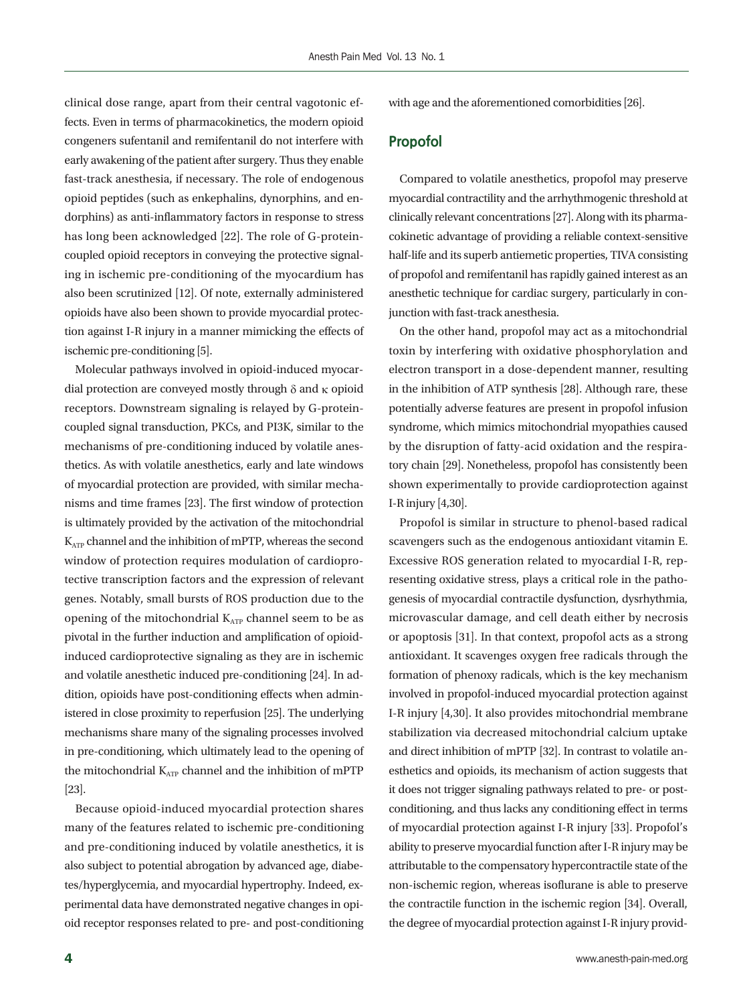clinical dose range, apart from their central vagotonic effects. Even in terms of pharmacokinetics, the modern opioid congeners sufentanil and remifentanil do not interfere with early awakening of the patient after surgery. Thus they enable fast-track anesthesia, if necessary. The role of endogenous opioid peptides (such as enkephalins, dynorphins, and endorphins) as anti-inflammatory factors in response to stress has long been acknowledged [22]. The role of G-proteincoupled opioid receptors in conveying the protective signaling in ischemic pre-conditioning of the myocardium has also been scrutinized [12]. Of note, externally administered opioids have also been shown to provide myocardial protection against I-R injury in a manner mimicking the effects of ischemic pre-conditioning [5].

Molecular pathways involved in opioid-induced myocardial protection are conveyed mostly through  $\delta$  and  $\kappa$  opioid receptors. Downstream signaling is relayed by G-proteincoupled signal transduction, PKCs, and PI3K, similar to the mechanisms of pre-conditioning induced by volatile anesthetics. As with volatile anesthetics, early and late windows of myocardial protection are provided, with similar mechanisms and time frames [23]. The first window of protection is ultimately provided by the activation of the mitochondrial  $K_{ATP}$  channel and the inhibition of mPTP, whereas the second window of protection requires modulation of cardioprotective transcription factors and the expression of relevant genes. Notably, small bursts of ROS production due to the opening of the mitochondrial  $K_{ATP}$  channel seem to be as pivotal in the further induction and amplification of opioidinduced cardioprotective signaling as they are in ischemic and volatile anesthetic induced pre-conditioning [24]. In addition, opioids have post-conditioning effects when administered in close proximity to reperfusion [25]. The underlying mechanisms share many of the signaling processes involved in pre-conditioning, which ultimately lead to the opening of the mitochondrial  $K_{ATP}$  channel and the inhibition of mPTP [23].

Because opioid-induced myocardial protection shares many of the features related to ischemic pre-conditioning and pre-conditioning induced by volatile anesthetics, it is also subject to potential abrogation by advanced age, diabetes/hyperglycemia, and myocardial hypertrophy. Indeed, experimental data have demonstrated negative changes in opioid receptor responses related to pre- and post-conditioning

with age and the aforementioned comorbidities [26].

#### **Propofol**

Compared to volatile anesthetics, propofol may preserve myocardial contractility and the arrhythmogenic threshold at clinically relevant concentrations [27]. Along with its pharmacokinetic advantage of providing a reliable context-sensitive half-life and its superb antiemetic properties, TIVA consisting of propofol and remifentanil has rapidly gained interest as an anesthetic technique for cardiac surgery, particularly in conjunction with fast-track anesthesia.

On the other hand, propofol may act as a mitochondrial toxin by interfering with oxidative phosphorylation and electron transport in a dose-dependent manner, resulting in the inhibition of ATP synthesis [28]. Although rare, these potentially adverse features are present in propofol infusion syndrome, which mimics mitochondrial myopathies caused by the disruption of fatty-acid oxidation and the respiratory chain [29]. Nonetheless, propofol has consistently been shown experimentally to provide cardioprotection against I-R injury [4,30].

Propofol is similar in structure to phenol-based radical scavengers such as the endogenous antioxidant vitamin E. Excessive ROS generation related to myocardial I-R, representing oxidative stress, plays a critical role in the pathogenesis of myocardial contractile dysfunction, dysrhythmia, microvascular damage, and cell death either by necrosis or apoptosis [31]. In that context, propofol acts as a strong antioxidant. It scavenges oxygen free radicals through the formation of phenoxy radicals, which is the key mechanism involved in propofol-induced myocardial protection against I-R injury [4,30]. It also provides mitochondrial membrane stabilization via decreased mitochondrial calcium uptake and direct inhibition of mPTP [32]. In contrast to volatile anesthetics and opioids, its mechanism of action suggests that it does not trigger signaling pathways related to pre- or postconditioning, and thus lacks any conditioning effect in terms of myocardial protection against I-R injury [33]. Propofol's ability to preserve myocardial function after I-R injury may be attributable to the compensatory hypercontractile state of the non-ischemic region, whereas isoflurane is able to preserve the contractile function in the ischemic region [34]. Overall, the degree of myocardial protection against I-R injury provid-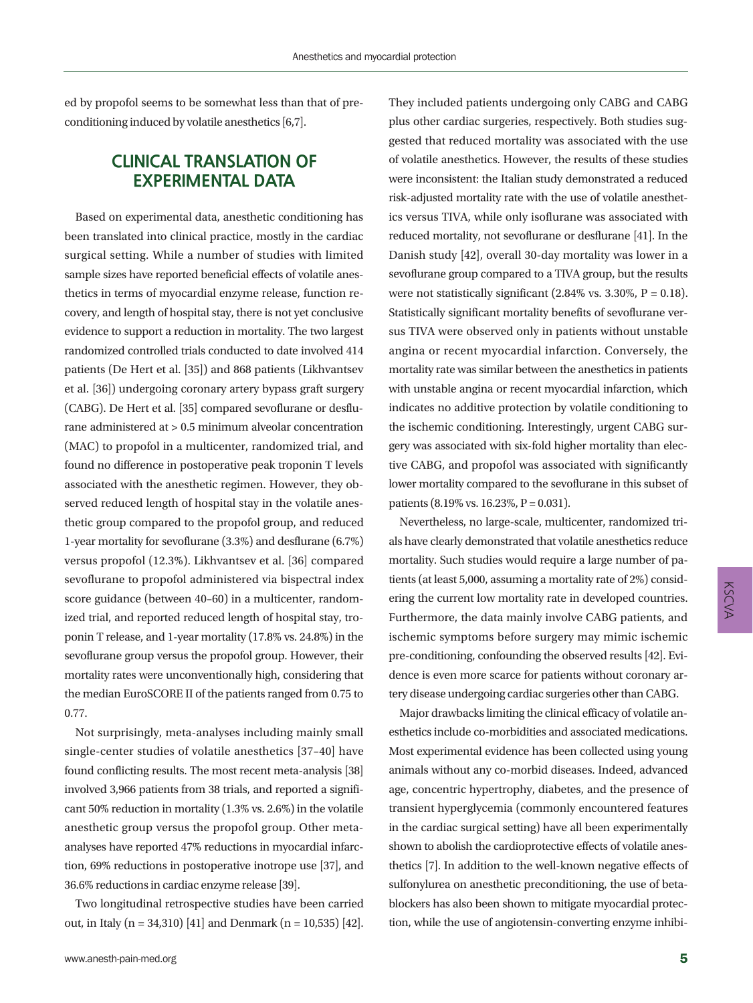ed by propofol seems to be somewhat less than that of preconditioning induced by volatile anesthetics [6,7].

## **CLINICAL TRANSLATION OF EXPERIMENTAL DATA**

Based on experimental data, anesthetic conditioning has been translated into clinical practice, mostly in the cardiac surgical setting. While a number of studies with limited sample sizes have reported beneficial effects of volatile anesthetics in terms of myocardial enzyme release, function recovery, and length of hospital stay, there is not yet conclusive evidence to support a reduction in mortality. The two largest randomized controlled trials conducted to date involved 414 patients (De Hert et al. [35]) and 868 patients (Likhvantsev et al. [36]) undergoing coronary artery bypass graft surgery (CABG). De Hert et al. [35] compared sevoflurane or desflurane administered at > 0.5 minimum alveolar concentration (MAC) to propofol in a multicenter, randomized trial, and found no difference in postoperative peak troponin T levels associated with the anesthetic regimen. However, they observed reduced length of hospital stay in the volatile anesthetic group compared to the propofol group, and reduced 1-year mortality for sevoflurane (3.3%) and desflurane (6.7%) versus propofol (12.3%). Likhvantsev et al. [36] compared sevoflurane to propofol administered via bispectral index score guidance (between 40–60) in a multicenter, randomized trial, and reported reduced length of hospital stay, troponin T release, and 1-year mortality (17.8% vs. 24.8%) in the sevoflurane group versus the propofol group. However, their mortality rates were unconventionally high, considering that the median EuroSCORE II of the patients ranged from 0.75 to 0.77.

Not surprisingly, meta-analyses including mainly small single-center studies of volatile anesthetics [37–40] have found conflicting results. The most recent meta-analysis [38] involved 3,966 patients from 38 trials, and reported a significant 50% reduction in mortality (1.3% vs. 2.6%) in the volatile anesthetic group versus the propofol group. Other metaanalyses have reported 47% reductions in myocardial infarction, 69% reductions in postoperative inotrope use [37], and 36.6% reductions in cardiac enzyme release [39].

Two longitudinal retrospective studies have been carried out, in Italy (n = 34,310) [41] and Denmark (n = 10,535) [42].

They included patients undergoing only CABG and CABG plus other cardiac surgeries, respectively. Both studies suggested that reduced mortality was associated with the use of volatile anesthetics. However, the results of these studies were inconsistent: the Italian study demonstrated a reduced risk-adjusted mortality rate with the use of volatile anesthetics versus TIVA, while only isoflurane was associated with reduced mortality, not sevoflurane or desflurane [41]. In the Danish study [42], overall 30-day mortality was lower in a sevoflurane group compared to a TIVA group, but the results were not statistically significant  $(2.84\% \text{ vs. } 3.30\%, P = 0.18)$ . Statistically significant mortality benefits of sevoflurane versus TIVA were observed only in patients without unstable angina or recent myocardial infarction. Conversely, the mortality rate was similar between the anesthetics in patients with unstable angina or recent myocardial infarction, which indicates no additive protection by volatile conditioning to the ischemic conditioning. Interestingly, urgent CABG surgery was associated with six-fold higher mortality than elective CABG, and propofol was associated with significantly lower mortality compared to the sevoflurane in this subset of patients (8.19% vs. 16.23%, P = 0.031).

Nevertheless, no large-scale, multicenter, randomized trials have clearly demonstrated that volatile anesthetics reduce mortality. Such studies would require a large number of patients (at least 5,000, assuming a mortality rate of 2%) considering the current low mortality rate in developed countries. Furthermore, the data mainly involve CABG patients, and ischemic symptoms before surgery may mimic ischemic pre-conditioning, confounding the observed results [42]. Evidence is even more scarce for patients without coronary artery disease undergoing cardiac surgeries other than CABG.

Major drawbacks limiting the clinical efficacy of volatile anesthetics include co-morbidities and associated medications. Most experimental evidence has been collected using young animals without any co-morbid diseases. Indeed, advanced age, concentric hypertrophy, diabetes, and the presence of transient hyperglycemia (commonly encountered features in the cardiac surgical setting) have all been experimentally shown to abolish the cardioprotective effects of volatile anesthetics [7]. In addition to the well-known negative effects of sulfonylurea on anesthetic preconditioning, the use of betablockers has also been shown to mitigate myocardial protection, while the use of angiotensin-converting enzyme inhibi-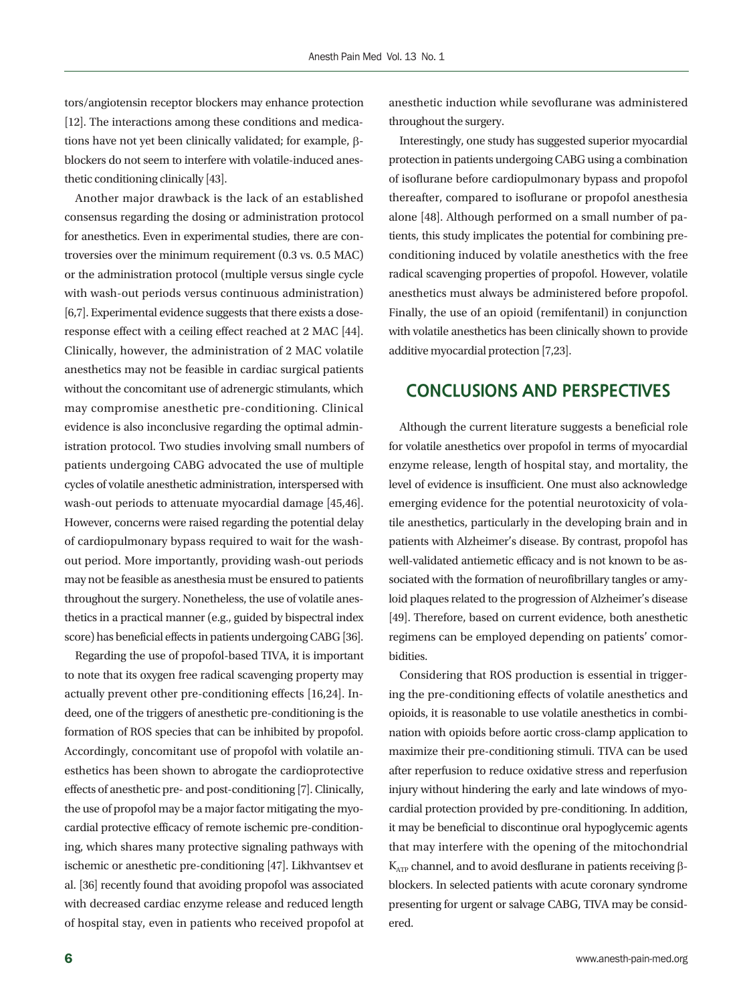tors/angiotensin receptor blockers may enhance protection [12]. The interactions among these conditions and medications have not yet been clinically validated; for example, bblockers do not seem to interfere with volatile-induced anesthetic conditioning clinically [43].

Another major drawback is the lack of an established consensus regarding the dosing or administration protocol for anesthetics. Even in experimental studies, there are controversies over the minimum requirement (0.3 vs. 0.5 MAC) or the administration protocol (multiple versus single cycle with wash-out periods versus continuous administration) [6,7]. Experimental evidence suggests that there exists a doseresponse effect with a ceiling effect reached at 2 MAC [44]. Clinically, however, the administration of 2 MAC volatile anesthetics may not be feasible in cardiac surgical patients without the concomitant use of adrenergic stimulants, which may compromise anesthetic pre-conditioning. Clinical evidence is also inconclusive regarding the optimal administration protocol. Two studies involving small numbers of patients undergoing CABG advocated the use of multiple cycles of volatile anesthetic administration, interspersed with wash-out periods to attenuate myocardial damage [45,46]. However, concerns were raised regarding the potential delay of cardiopulmonary bypass required to wait for the washout period. More importantly, providing wash-out periods may not be feasible as anesthesia must be ensured to patients throughout the surgery. Nonetheless, the use of volatile anesthetics in a practical manner (e.g., guided by bispectral index score) has beneficial effects in patients undergoing CABG [36].

Regarding the use of propofol-based TIVA, it is important to note that its oxygen free radical scavenging property may actually prevent other pre-conditioning effects [16,24]. Indeed, one of the triggers of anesthetic pre-conditioning is the formation of ROS species that can be inhibited by propofol. Accordingly, concomitant use of propofol with volatile anesthetics has been shown to abrogate the cardioprotective effects of anesthetic pre- and post-conditioning [7]. Clinically, the use of propofol may be a major factor mitigating the myocardial protective efficacy of remote ischemic pre-conditioning, which shares many protective signaling pathways with ischemic or anesthetic pre-conditioning [47]. Likhvantsev et al. [36] recently found that avoiding propofol was associated with decreased cardiac enzyme release and reduced length of hospital stay, even in patients who received propofol at

anesthetic induction while sevoflurane was administered throughout the surgery.

Interestingly, one study has suggested superior myocardial protection in patients undergoing CABG using a combination of isoflurane before cardiopulmonary bypass and propofol thereafter, compared to isoflurane or propofol anesthesia alone [48]. Although performed on a small number of patients, this study implicates the potential for combining preconditioning induced by volatile anesthetics with the free radical scavenging properties of propofol. However, volatile anesthetics must always be administered before propofol. Finally, the use of an opioid (remifentanil) in conjunction with volatile anesthetics has been clinically shown to provide additive myocardial protection [7,23].

## **CONCLUSIONS AND PERSPECTIVES**

Although the current literature suggests a beneficial role for volatile anesthetics over propofol in terms of myocardial enzyme release, length of hospital stay, and mortality, the level of evidence is insufficient. One must also acknowledge emerging evidence for the potential neurotoxicity of volatile anesthetics, particularly in the developing brain and in patients with Alzheimer's disease. By contrast, propofol has well-validated antiemetic efficacy and is not known to be associated with the formation of neurofibrillary tangles or amyloid plaques related to the progression of Alzheimer's disease [49]. Therefore, based on current evidence, both anesthetic regimens can be employed depending on patients' comorbidities.

Considering that ROS production is essential in triggering the pre-conditioning effects of volatile anesthetics and opioids, it is reasonable to use volatile anesthetics in combination with opioids before aortic cross-clamp application to maximize their pre-conditioning stimuli. TIVA can be used after reperfusion to reduce oxidative stress and reperfusion injury without hindering the early and late windows of myocardial protection provided by pre-conditioning. In addition, it may be beneficial to discontinue oral hypoglycemic agents that may interfere with the opening of the mitochondrial  $K_{ATP}$  channel, and to avoid desflurane in patients receiving  $\beta$ blockers. In selected patients with acute coronary syndrome presenting for urgent or salvage CABG, TIVA may be considered.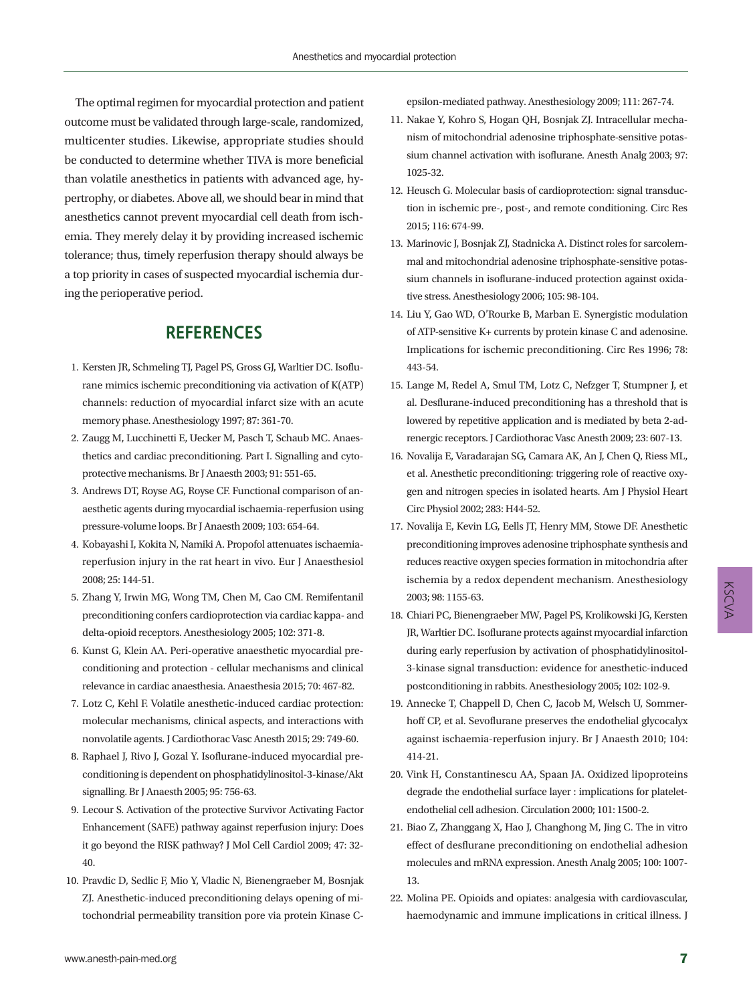The optimal regimen for myocardial protection and patient outcome must be validated through large-scale, randomized, multicenter studies. Likewise, appropriate studies should be conducted to determine whether TIVA is more beneficial than volatile anesthetics in patients with advanced age, hypertrophy, or diabetes. Above all, we should bear in mind that anesthetics cannot prevent myocardial cell death from ischemia. They merely delay it by providing increased ischemic tolerance; thus, timely reperfusion therapy should always be a top priority in cases of suspected myocardial ischemia during the perioperative period.

## **REFERENCES**

- 1. Kersten JR, Schmeling TJ, Pagel PS, Gross GJ, Warltier DC. Isoflurane mimics ischemic preconditioning via activation of K(ATP) channels: reduction of myocardial infarct size with an acute memory phase. Anesthesiology 1997; 87: 361-70.
- 2. Zaugg M, Lucchinetti E, Uecker M, Pasch T, Schaub MC. Anaesthetics and cardiac preconditioning. Part I. Signalling and cytoprotective mechanisms. Br J Anaesth 2003; 91: 551-65.
- 3. Andrews DT, Royse AG, Royse CF. Functional comparison of anaesthetic agents during myocardial ischaemia-reperfusion using pressure-volume loops. Br J Anaesth 2009; 103: 654-64.
- 4. Kobayashi I, Kokita N, Namiki A. Propofol attenuates ischaemiareperfusion injury in the rat heart in vivo. Eur J Anaesthesiol 2008; 25: 144-51.
- 5. Zhang Y, Irwin MG, Wong TM, Chen M, Cao CM. Remifentanil preconditioning confers cardioprotection via cardiac kappa- and delta-opioid receptors. Anesthesiology 2005; 102: 371-8.
- 6. Kunst G, Klein AA. Peri-operative anaesthetic myocardial preconditioning and protection - cellular mechanisms and clinical relevance in cardiac anaesthesia. Anaesthesia 2015; 70: 467-82.
- 7. Lotz C, Kehl F. Volatile anesthetic-induced cardiac protection: molecular mechanisms, clinical aspects, and interactions with nonvolatile agents. J Cardiothorac Vasc Anesth 2015; 29: 749-60.
- 8. Raphael J, Rivo J, Gozal Y. Isoflurane-induced myocardial preconditioning is dependent on phosphatidylinositol-3-kinase/Akt signalling. Br J Anaesth 2005; 95: 756-63.
- 9. Lecour S. Activation of the protective Survivor Activating Factor Enhancement (SAFE) pathway against reperfusion injury: Does it go beyond the RISK pathway? J Mol Cell Cardiol 2009; 47: 32- 40.
- 10. Pravdic D, Sedlic F, Mio Y, Vladic N, Bienengraeber M, Bosnjak ZJ. Anesthetic-induced preconditioning delays opening of mitochondrial permeability transition pore via protein Kinase C-

epsilon-mediated pathway. Anesthesiology 2009; 111: 267-74.

- 11. Nakae Y, Kohro S, Hogan QH, Bosnjak ZJ. Intracellular mechanism of mitochondrial adenosine triphosphate-sensitive potassium channel activation with isoflurane. Anesth Analg 2003; 97: 1025-32.
- 12. Heusch G. Molecular basis of cardioprotection: signal transduction in ischemic pre-, post-, and remote conditioning. Circ Res 2015; 116: 674-99.
- 13. Marinovic J, Bosnjak ZJ, Stadnicka A. Distinct roles for sarcolemmal and mitochondrial adenosine triphosphate-sensitive potassium channels in isoflurane-induced protection against oxidative stress. Anesthesiology 2006; 105: 98-104.
- 14. Liu Y, Gao WD, O'Rourke B, Marban E. Synergistic modulation of ATP-sensitive K+ currents by protein kinase C and adenosine. Implications for ischemic preconditioning. Circ Res 1996; 78: 443-54.
- 15. Lange M, Redel A, Smul TM, Lotz C, Nefzger T, Stumpner J, et al. Desflurane-induced preconditioning has a threshold that is lowered by repetitive application and is mediated by beta 2-adrenergic receptors. J Cardiothorac Vasc Anesth 2009; 23: 607-13.
- 16. Novalija E, Varadarajan SG, Camara AK, An J, Chen Q, Riess ML, et al. Anesthetic preconditioning: triggering role of reactive oxygen and nitrogen species in isolated hearts. Am J Physiol Heart Circ Physiol 2002; 283: H44-52.
- 17. Novalija E, Kevin LG, Eells JT, Henry MM, Stowe DF. Anesthetic preconditioning improves adenosine triphosphate synthesis and reduces reactive oxygen species formation in mitochondria after ischemia by a redox dependent mechanism. Anesthesiology 2003; 98: 1155-63.
- 18. Chiari PC, Bienengraeber MW, Pagel PS, Krolikowski JG, Kersten JR, Warltier DC. Isoflurane protects against myocardial infarction during early reperfusion by activation of phosphatidylinositol-3-kinase signal transduction: evidence for anesthetic-induced postconditioning in rabbits. Anesthesiology 2005; 102: 102-9.
- 19. Annecke T, Chappell D, Chen C, Jacob M, Welsch U, Sommerhoff CP, et al. Sevoflurane preserves the endothelial glycocalyx against ischaemia-reperfusion injury. Br J Anaesth 2010; 104: 414-21.
- 20. Vink H, Constantinescu AA, Spaan JA. Oxidized lipoproteins degrade the endothelial surface layer : implications for plateletendothelial cell adhesion. Circulation 2000; 101: 1500-2.
- 21. Biao Z, Zhanggang X, Hao J, Changhong M, Jing C. The in vitro effect of desflurane preconditioning on endothelial adhesion molecules and mRNA expression. Anesth Analg 2005; 100: 1007- 13.
- 22. Molina PE. Opioids and opiates: analgesia with cardiovascular, haemodynamic and immune implications in critical illness. J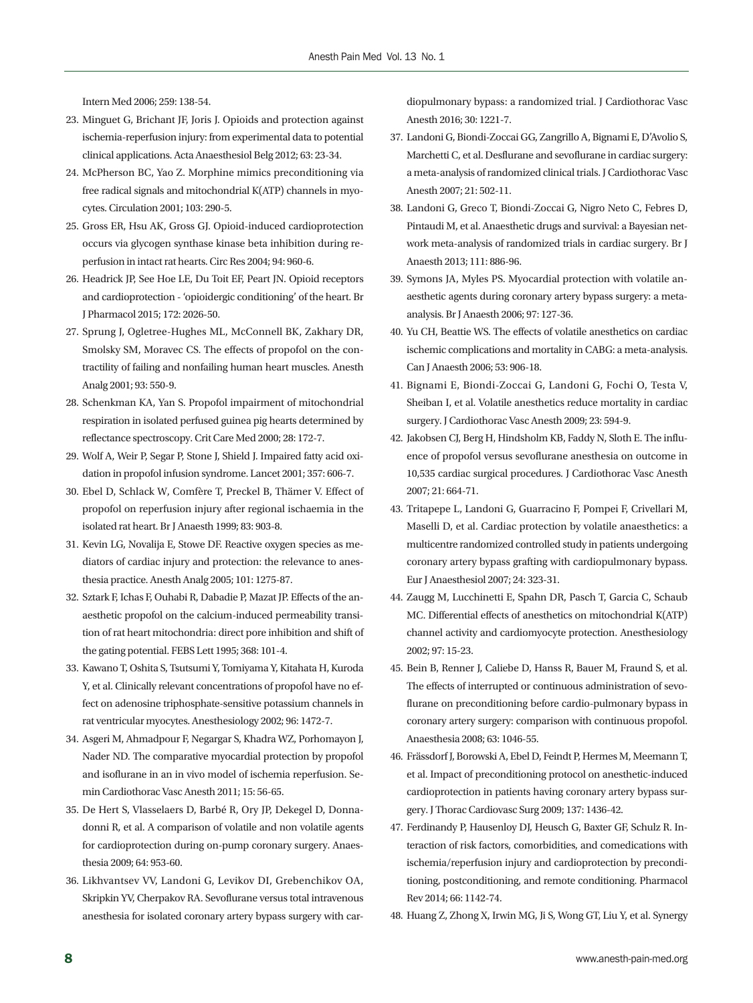Intern Med 2006; 259: 138-54.

- 23. Minguet G, Brichant JF, Joris J. Opioids and protection against ischemia-reperfusion injury: from experimental data to potential clinical applications. Acta Anaesthesiol Belg 2012; 63: 23-34.
- 24. McPherson BC, Yao Z. Morphine mimics preconditioning via free radical signals and mitochondrial K(ATP) channels in myocytes. Circulation 2001; 103: 290-5.
- 25. Gross ER, Hsu AK, Gross GJ. Opioid-induced cardioprotection occurs via glycogen synthase kinase beta inhibition during reperfusion in intact rat hearts. Circ Res 2004; 94: 960-6.
- 26. Headrick JP, See Hoe LE, Du Toit EF, Peart JN. Opioid receptors and cardioprotection - 'opioidergic conditioning' of the heart. Br J Pharmacol 2015; 172: 2026-50.
- 27. Sprung J, Ogletree-Hughes ML, McConnell BK, Zakhary DR, Smolsky SM, Moravec CS. The effects of propofol on the contractility of failing and nonfailing human heart muscles. Anesth Analg 2001; 93: 550-9.
- 28. Schenkman KA, Yan S. Propofol impairment of mitochondrial respiration in isolated perfused guinea pig hearts determined by reflectance spectroscopy. Crit Care Med 2000; 28: 172-7.
- 29. Wolf A, Weir P, Segar P, Stone J, Shield J. Impaired fatty acid oxidation in propofol infusion syndrome. Lancet 2001; 357: 606-7.
- 30. Ebel D, Schlack W, Comfère T, Preckel B, Thämer V. Effect of propofol on reperfusion injury after regional ischaemia in the isolated rat heart. Br J Anaesth 1999; 83: 903-8.
- 31. Kevin LG, Novalija E, Stowe DF. Reactive oxygen species as mediators of cardiac injury and protection: the relevance to anesthesia practice. Anesth Analg 2005; 101: 1275-87.
- 32. Sztark F, Ichas F, Ouhabi R, Dabadie P, Mazat JP. Effects of the anaesthetic propofol on the calcium-induced permeability transition of rat heart mitochondria: direct pore inhibition and shift of the gating potential. FEBS Lett 1995; 368: 101-4.
- 33. Kawano T, Oshita S, Tsutsumi Y, Tomiyama Y, Kitahata H, Kuroda Y, et al. Clinically relevant concentrations of propofol have no effect on adenosine triphosphate-sensitive potassium channels in rat ventricular myocytes. Anesthesiology 2002; 96: 1472-7.
- 34. Asgeri M, Ahmadpour F, Negargar S, Khadra WZ, Porhomayon J, Nader ND. The comparative myocardial protection by propofol and isoflurane in an in vivo model of ischemia reperfusion. Semin Cardiothorac Vasc Anesth 2011; 15: 56-65.
- 35. De Hert S, Vlasselaers D, Barbé R, Ory JP, Dekegel D, Donnadonni R, et al. A comparison of volatile and non volatile agents for cardioprotection during on-pump coronary surgery. Anaesthesia 2009; 64: 953-60.
- 36. Likhvantsev VV, Landoni G, Levikov DI, Grebenchikov OA, Skripkin YV, Cherpakov RA. Sevoflurane versus total intravenous anesthesia for isolated coronary artery bypass surgery with car-

diopulmonary bypass: a randomized trial. J Cardiothorac Vasc Anesth 2016; 30: 1221-7.

- 37. Landoni G, Biondi-Zoccai GG, Zangrillo A, Bignami E, D'Avolio S, Marchetti C, et al. Desflurane and sevoflurane in cardiac surgery: a meta-analysis of randomized clinical trials. J Cardiothorac Vasc Anesth 2007; 21: 502-11.
- 38. Landoni G, Greco T, Biondi-Zoccai G, Nigro Neto C, Febres D, Pintaudi M, et al. Anaesthetic drugs and survival: a Bayesian network meta-analysis of randomized trials in cardiac surgery. Br J Anaesth 2013; 111: 886-96.
- 39. Symons JA, Myles PS. Myocardial protection with volatile anaesthetic agents during coronary artery bypass surgery: a metaanalysis. Br J Anaesth 2006; 97: 127-36.
- 40. Yu CH, Beattie WS. The effects of volatile anesthetics on cardiac ischemic complications and mortality in CABG: a meta-analysis. Can J Anaesth 2006; 53: 906-18.
- 41. Bignami E, Biondi-Zoccai G, Landoni G, Fochi O, Testa V, Sheiban I, et al. Volatile anesthetics reduce mortality in cardiac surgery. J Cardiothorac Vasc Anesth 2009; 23: 594-9.
- 42. Jakobsen CJ, Berg H, Hindsholm KB, Faddy N, Sloth E. The influence of propofol versus sevoflurane anesthesia on outcome in 10,535 cardiac surgical procedures. J Cardiothorac Vasc Anesth 2007; 21: 664-71.
- 43. Tritapepe L, Landoni G, Guarracino F, Pompei F, Crivellari M, Maselli D, et al. Cardiac protection by volatile anaesthetics: a multicentre randomized controlled study in patients undergoing coronary artery bypass grafting with cardiopulmonary bypass. Eur J Anaesthesiol 2007; 24: 323-31.
- 44. Zaugg M, Lucchinetti E, Spahn DR, Pasch T, Garcia C, Schaub MC. Differential effects of anesthetics on mitochondrial K(ATP) channel activity and cardiomyocyte protection. Anesthesiology 2002; 97: 15-23.
- 45. Bein B, Renner J, Caliebe D, Hanss R, Bauer M, Fraund S, et al. The effects of interrupted or continuous administration of sevoflurane on preconditioning before cardio-pulmonary bypass in coronary artery surgery: comparison with continuous propofol. Anaesthesia 2008; 63: 1046-55.
- 46. Frässdorf J, Borowski A, Ebel D, Feindt P, Hermes M, Meemann T, et al. Impact of preconditioning protocol on anesthetic-induced cardioprotection in patients having coronary artery bypass surgery. J Thorac Cardiovasc Surg 2009; 137: 1436-42.
- 47. Ferdinandy P, Hausenloy DJ, Heusch G, Baxter GF, Schulz R. Interaction of risk factors, comorbidities, and comedications with ischemia/reperfusion injury and cardioprotection by preconditioning, postconditioning, and remote conditioning. Pharmacol Rev 2014; 66: 1142-74.
- 48. Huang Z, Zhong X, Irwin MG, Ji S, Wong GT, Liu Y, et al. Synergy